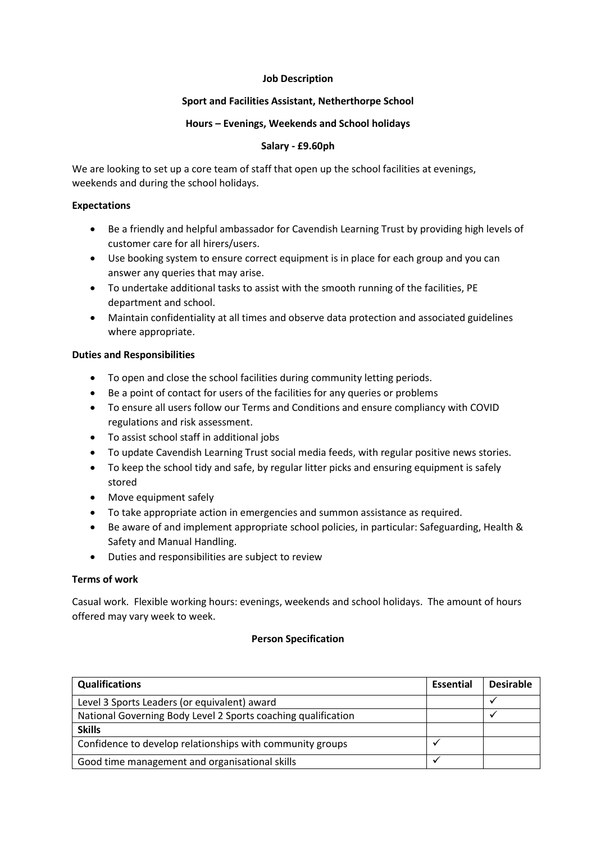### **Job Description**

# **Sport and Facilities Assistant, Netherthorpe School**

### **Hours – Evenings, Weekends and School holidays**

# **Salary - £9.60ph**

We are looking to set up a core team of staff that open up the school facilities at evenings, weekends and during the school holidays.

### **Expectations**

- Be a friendly and helpful ambassador for Cavendish Learning Trust by providing high levels of customer care for all hirers/users.
- Use booking system to ensure correct equipment is in place for each group and you can answer any queries that may arise.
- To undertake additional tasks to assist with the smooth running of the facilities, PE department and school.
- Maintain confidentiality at all times and observe data protection and associated guidelines where appropriate.

# **Duties and Responsibilities**

- To open and close the school facilities during community letting periods.
- Be a point of contact for users of the facilities for any queries or problems
- To ensure all users follow our Terms and Conditions and ensure compliancy with COVID regulations and risk assessment.
- To assist school staff in additional jobs
- To update Cavendish Learning Trust social media feeds, with regular positive news stories.
- To keep the school tidy and safe, by regular litter picks and ensuring equipment is safely stored
- Move equipment safely
- To take appropriate action in emergencies and summon assistance as required.
- Be aware of and implement appropriate school policies, in particular: Safeguarding, Health & Safety and Manual Handling.
- Duties and responsibilities are subject to review

#### **Terms of work**

Casual work. Flexible working hours: evenings, weekends and school holidays. The amount of hours offered may vary week to week.

#### **Person Specification**

| <b>Qualifications</b>                                         | Essential | <b>Desirable</b> |
|---------------------------------------------------------------|-----------|------------------|
| Level 3 Sports Leaders (or equivalent) award                  |           |                  |
| National Governing Body Level 2 Sports coaching qualification |           |                  |
| <b>Skills</b>                                                 |           |                  |
| Confidence to develop relationships with community groups     |           |                  |
| Good time management and organisational skills                |           |                  |